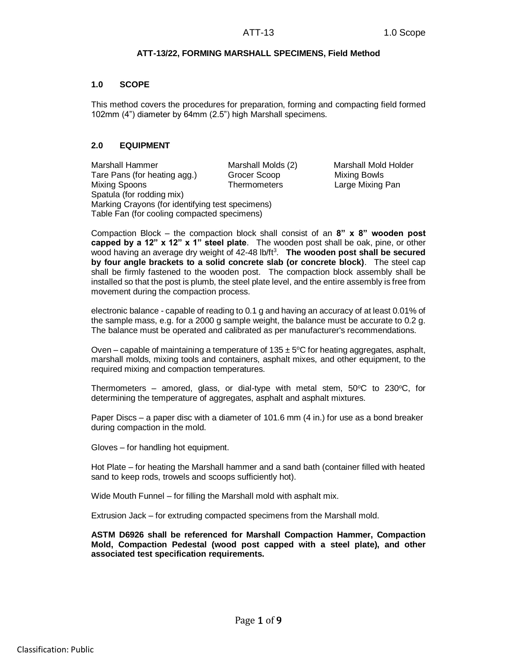# **ATT-13/22, FORMING MARSHALL SPECIMENS, Field Method**

## **1.0 SCOPE**

This method covers the procedures for preparation, forming and compacting field formed 102mm (4") diameter by 64mm (2.5") high Marshall specimens.

# **2.0 EQUIPMENT**

Marshall Hammer Marshall Molds (2) Marshall Mold Holder Tare Pans (for heating agg.) Grocer Scoop Mixing Bowls Mixing Spoons Thermometers Large Mixing Pan Spatula (for rodding mix) Marking Crayons (for identifying test specimens) Table Fan (for cooling compacted specimens)

Compaction Block – the compaction block shall consist of an **8" x 8" wooden post capped by a 12" x 12" x 1" steel plate**. The wooden post shall be oak, pine, or other wood having an average dry weight of 42-48 lb/ft<sup>3</sup>. The wooden post shall be secured **by four angle brackets to a solid concrete slab (or concrete block)**. The steel cap shall be firmly fastened to the wooden post. The compaction block assembly shall be installed so that the post is plumb, the steel plate level, and the entire assembly is free from movement during the compaction process.

electronic balance - capable of reading to 0.1 g and having an accuracy of at least 0.01% of the sample mass, e.g. for a 2000 g sample weight, the balance must be accurate to 0.2 g. The balance must be operated and calibrated as per manufacturer's recommendations.

Oven – capable of maintaining a temperature of  $135 \pm 5$ °C for heating aggregates, asphalt, marshall molds, mixing tools and containers, asphalt mixes, and other equipment, to the required mixing and compaction temperatures.

Thermometers – amored, glass, or dial-type with metal stem,  $50^{\circ}$ C to  $230^{\circ}$ C, for determining the temperature of aggregates, asphalt and asphalt mixtures.

Paper Discs – a paper disc with a diameter of 101.6 mm (4 in.) for use as a bond breaker during compaction in the mold.

Gloves – for handling hot equipment.

Hot Plate – for heating the Marshall hammer and a sand bath (container filled with heated sand to keep rods, trowels and scoops sufficiently hot).

Wide Mouth Funnel – for filling the Marshall mold with asphalt mix.

Extrusion Jack – for extruding compacted specimens from the Marshall mold.

**ASTM D6926 shall be referenced for Marshall Compaction Hammer, Compaction Mold, Compaction Pedestal (wood post capped with a steel plate), and other associated test specification requirements.**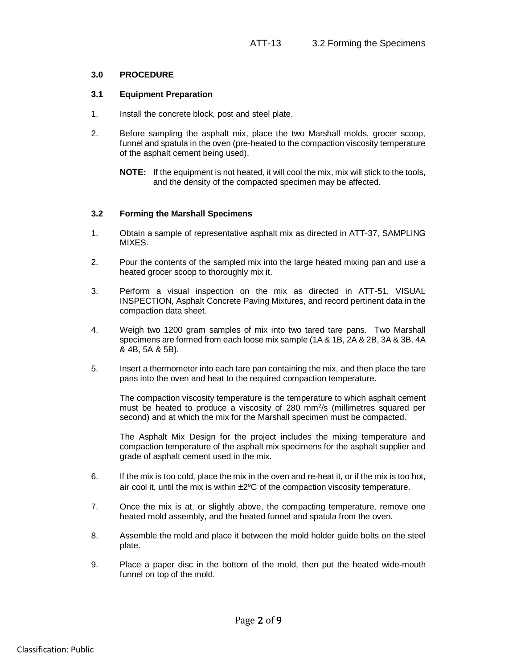#### **3.0 PROCEDURE**

### **3.1 Equipment Preparation**

- 1. Install the concrete block, post and steel plate.
- 2. Before sampling the asphalt mix, place the two Marshall molds, grocer scoop, funnel and spatula in the oven (pre-heated to the compaction viscosity temperature of the asphalt cement being used).

# **3.2 Forming the Marshall Specimens**

- 1. Obtain a sample of representative asphalt mix as directed in ATT-37, SAMPLING MIXES.
- 2. Pour the contents of the sampled mix into the large heated mixing pan and use a heated grocer scoop to thoroughly mix it.
- 3. Perform a visual inspection on the mix as directed in ATT-51, VISUAL INSPECTION, Asphalt Concrete Paving Mixtures, and record pertinent data in the compaction data sheet.
- 4. Weigh two 1200 gram samples of mix into two tared tare pans. Two Marshall specimens are formed from each loose mix sample (1A & 1B, 2A & 2B, 3A & 3B, 4A & 4B, 5A & 5B).
- 5. Insert a thermometer into each tare pan containing the mix, and then place the tare pans into the oven and heat to the required compaction temperature.

The compaction viscosity temperature is the temperature to which asphalt cement must be heated to produce a viscosity of 280 mm<sup>2</sup>/s (millimetres squared per second) and at which the mix for the Marshall specimen must be compacted.

The Asphalt Mix Design for the project includes the mixing temperature and compaction temperature of the asphalt mix specimens for the asphalt supplier and grade of asphalt cement used in the mix.

- 6. If the mix is too cold, place the mix in the oven and re-heat it, or if the mix is too hot, air cool it, until the mix is within  $\pm 2^{\circ}C$  of the compaction viscosity temperature.
- 7. Once the mix is at, or slightly above, the compacting temperature, remove one heated mold assembly, and the heated funnel and spatula from the oven.
- 8. Assemble the mold and place it between the mold holder guide bolts on the steel plate.
- 9. Place a paper disc in the bottom of the mold, then put the heated wide-mouth funnel on top of the mold.

**NOTE:** If the equipment is not heated, it will cool the mix, mix will stick to the tools, and the density of the compacted specimen may be affected.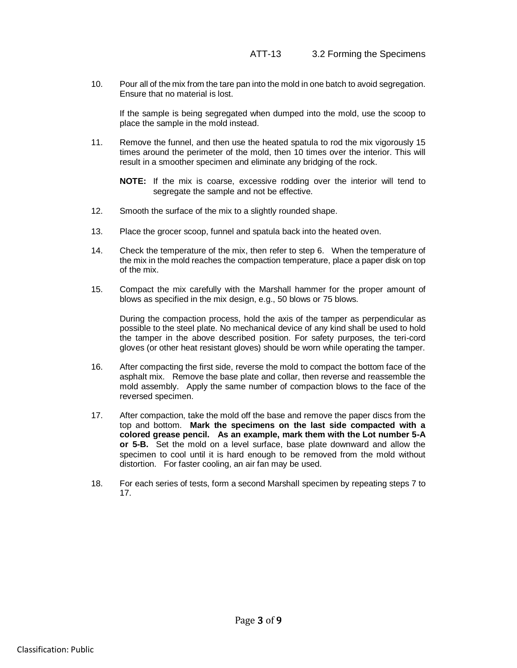10. Pour all of the mix from the tare pan into the mold in one batch to avoid segregation. Ensure that no material is lost.

If the sample is being segregated when dumped into the mold, use the scoop to place the sample in the mold instead.

11. Remove the funnel, and then use the heated spatula to rod the mix vigorously 15 times around the perimeter of the mold, then 10 times over the interior. This will result in a smoother specimen and eliminate any bridging of the rock.

**NOTE:** If the mix is coarse, excessive rodding over the interior will tend to segregate the sample and not be effective.

- 12. Smooth the surface of the mix to a slightly rounded shape.
- 13. Place the grocer scoop, funnel and spatula back into the heated oven.
- 14. Check the temperature of the mix, then refer to step 6. When the temperature of the mix in the mold reaches the compaction temperature, place a paper disk on top of the mix.
- 15. Compact the mix carefully with the Marshall hammer for the proper amount of blows as specified in the mix design, e.g., 50 blows or 75 blows.

During the compaction process, hold the axis of the tamper as perpendicular as possible to the steel plate. No mechanical device of any kind shall be used to hold the tamper in the above described position. For safety purposes, the teri-cord gloves (or other heat resistant gloves) should be worn while operating the tamper.

- 16. After compacting the first side, reverse the mold to compact the bottom face of the asphalt mix. Remove the base plate and collar, then reverse and reassemble the mold assembly. Apply the same number of compaction blows to the face of the reversed specimen.
- 17. After compaction, take the mold off the base and remove the paper discs from the top and bottom. **Mark the specimens on the last side compacted with a colored grease pencil. As an example, mark them with the Lot number 5-A or 5-B.** Set the mold on a level surface, base plate downward and allow the specimen to cool until it is hard enough to be removed from the mold without distortion. For faster cooling, an air fan may be used.
- 18. For each series of tests, form a second Marshall specimen by repeating steps 7 to 17.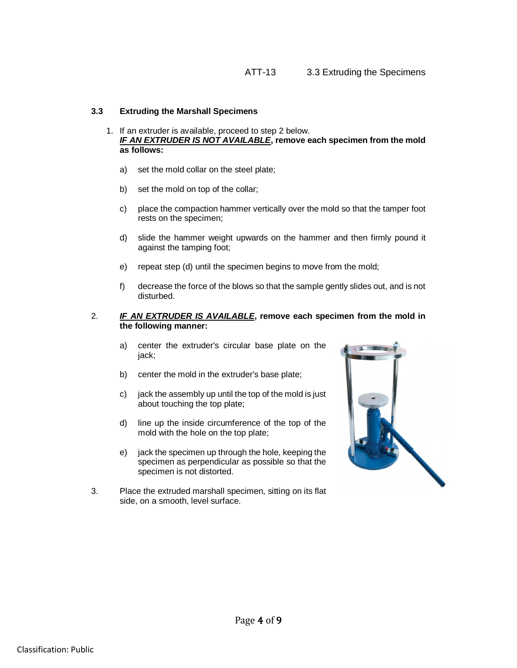# **3.3 Extruding the Marshall Specimens**

- 1. If an extruder is available, proceed to step 2 below. *IF AN EXTRUDER IS NOT AVAILABLE***, remove each specimen from the mold as follows:**
	- a) set the mold collar on the steel plate;
	- b) set the mold on top of the collar;
	- c) place the compaction hammer vertically over the mold so that the tamper foot rests on the specimen;
	- d) slide the hammer weight upwards on the hammer and then firmly pound it against the tamping foot;
	- e) repeat step (d) until the specimen begins to move from the mold;
	- f) decrease the force of the blows so that the sample gently slides out, and is not disturbed.

# 2. *IF AN EXTRUDER IS AVAILABLE***, remove each specimen from the mold in the following manner:**

- a) center the extruder's circular base plate on the jack;
- b) center the mold in the extruder's base plate;
- c) jack the assembly up until the top of the mold is just about touching the top plate;
- d) line up the inside circumference of the top of the mold with the hole on the top plate;
- e) jack the specimen up through the hole, keeping the specimen as perpendicular as possible so that the specimen is not distorted.
- 3. Place the extruded marshall specimen, sitting on its flat side, on a smooth, level surface.

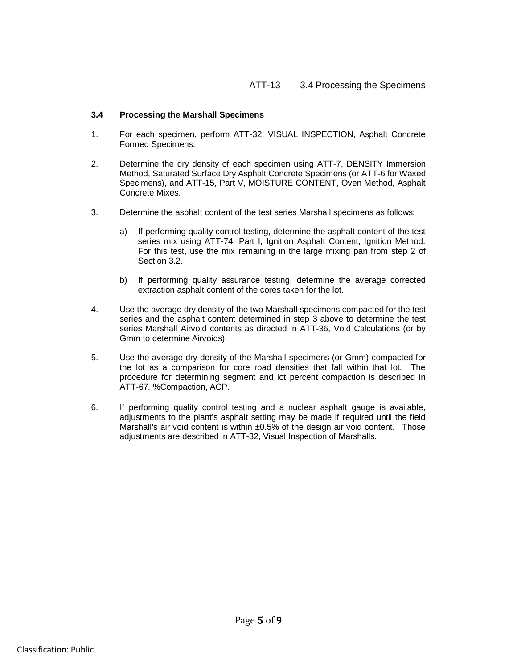# **3.4 Processing the Marshall Specimens**

- 1. For each specimen, perform ATT-32, VISUAL INSPECTION, Asphalt Concrete Formed Specimens.
- 2. Determine the dry density of each specimen using ATT-7, DENSITY Immersion Method, Saturated Surface Dry Asphalt Concrete Specimens (or ATT-6 for Waxed Specimens), and ATT-15, Part V, MOISTURE CONTENT, Oven Method, Asphalt Concrete Mixes.
- 3. Determine the asphalt content of the test series Marshall specimens as follows:
	- a) If performing quality control testing, determine the asphalt content of the test series mix using ATT-74, Part I, Ignition Asphalt Content, Ignition Method. For this test, use the mix remaining in the large mixing pan from step 2 of Section 3.2.
	- b) If performing quality assurance testing, determine the average corrected extraction asphalt content of the cores taken for the lot.
- 4. Use the average dry density of the two Marshall specimens compacted for the test series and the asphalt content determined in step 3 above to determine the test series Marshall Airvoid contents as directed in ATT-36, Void Calculations (or by Gmm to determine Airvoids).
- 5. Use the average dry density of the Marshall specimens (or Gmm) compacted for the lot as a comparison for core road densities that fall within that lot. The procedure for determining segment and lot percent compaction is described in ATT-67, %Compaction, ACP.
- 6. If performing quality control testing and a nuclear asphalt gauge is available, adjustments to the plant's asphalt setting may be made if required until the field Marshall's air void content is within ±0.5% of the design air void content. Those adjustments are described in ATT-32, Visual Inspection of Marshalls.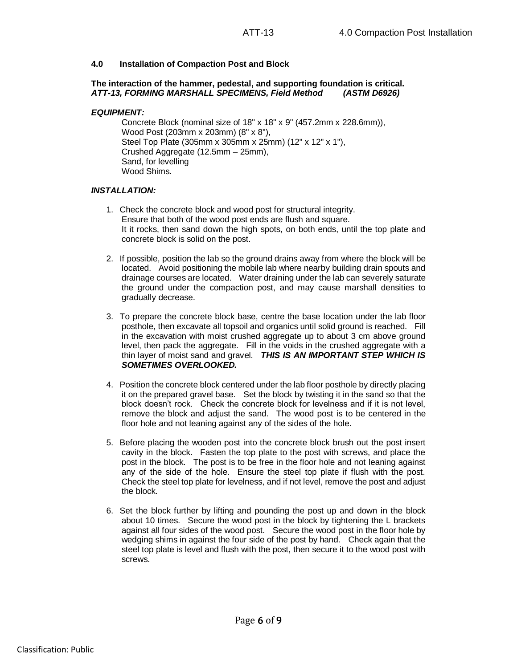## **4.0 Installation of Compaction Post and Block**

#### **The interaction of the hammer, pedestal, and supporting foundation is critical.** *ATT-13, FORMING MARSHALL SPECIMENS, Field Method (ASTM D6926)*

#### *EQUIPMENT:*

Concrete Block (nominal size of 18" x 18" x 9" (457.2mm x 228.6mm)), Wood Post (203mm x 203mm) (8" x 8"), Steel Top Plate (305mm x 305mm x 25mm) (12" x 12" x 1"), Crushed Aggregate (12.5mm – 25mm), Sand, for levelling Wood Shims.

## *INSTALLATION:*

- 1. Check the concrete block and wood post for structural integrity. Ensure that both of the wood post ends are flush and square. It it rocks, then sand down the high spots, on both ends, until the top plate and concrete block is solid on the post.
- 2. If possible, position the lab so the ground drains away from where the block will be located. Avoid positioning the mobile lab where nearby building drain spouts and drainage courses are located. Water draining under the lab can severely saturate the ground under the compaction post, and may cause marshall densities to gradually decrease.
- 3. To prepare the concrete block base, centre the base location under the lab floor posthole, then excavate all topsoil and organics until solid ground is reached. Fill in the excavation with moist crushed aggregate up to about 3 cm above ground level, then pack the aggregate. Fill in the voids in the crushed aggregate with a thin layer of moist sand and gravel. *THIS IS AN IMPORTANT STEP WHICH IS SOMETIMES OVERLOOKED.*
- 4. Position the concrete block centered under the lab floor posthole by directly placing it on the prepared gravel base. Set the block by twisting it in the sand so that the block doesn't rock. Check the concrete block for levelness and if it is not level, remove the block and adjust the sand. The wood post is to be centered in the floor hole and not leaning against any of the sides of the hole.
- 5. Before placing the wooden post into the concrete block brush out the post insert cavity in the block. Fasten the top plate to the post with screws, and place the post in the block. The post is to be free in the floor hole and not leaning against any of the side of the hole. Ensure the steel top plate if flush with the post. Check the steel top plate for levelness, and if not level, remove the post and adjust the block.
- 6. Set the block further by lifting and pounding the post up and down in the block about 10 times. Secure the wood post in the block by tightening the L brackets against all four sides of the wood post. Secure the wood post in the floor hole by wedging shims in against the four side of the post by hand. Check again that the steel top plate is level and flush with the post, then secure it to the wood post with screws.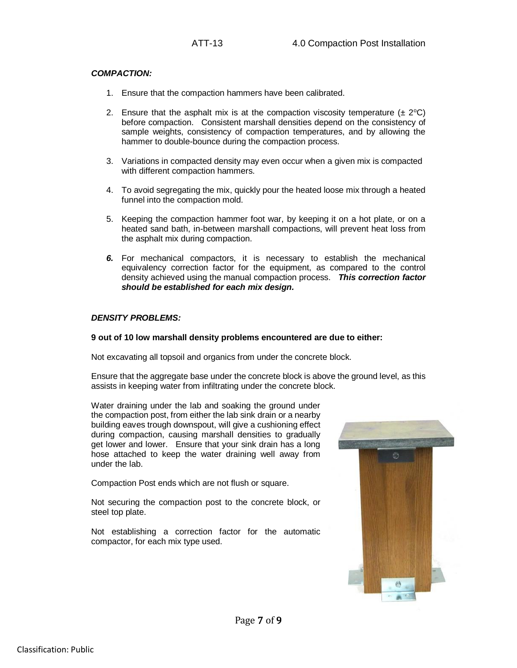# *COMPACTION:*

- 1. Ensure that the compaction hammers have been calibrated.
- 2. Ensure that the asphalt mix is at the compaction viscosity temperature  $(\pm 2^{\circ}C)$ before compaction. Consistent marshall densities depend on the consistency of sample weights, consistency of compaction temperatures, and by allowing the hammer to double-bounce during the compaction process.
- 3. Variations in compacted density may even occur when a given mix is compacted with different compaction hammers.
- 4. To avoid segregating the mix, quickly pour the heated loose mix through a heated funnel into the compaction mold.
- 5. Keeping the compaction hammer foot war, by keeping it on a hot plate, or on a heated sand bath, in-between marshall compactions, will prevent heat loss from the asphalt mix during compaction.
- *6.* For mechanical compactors, it is necessary to establish the mechanical equivalency correction factor for the equipment, as compared to the control density achieved using the manual compaction process. *This correction factor should be established for each mix design.*

## *DENSITY PROBLEMS:*

#### **9 out of 10 low marshall density problems encountered are due to either:**

Not excavating all topsoil and organics from under the concrete block.

Ensure that the aggregate base under the concrete block is above the ground level, as this assists in keeping water from infiltrating under the concrete block.

Water draining under the lab and soaking the ground under the compaction post, from either the lab sink drain or a nearby building eaves trough downspout, will give a cushioning effect during compaction, causing marshall densities to gradually get lower and lower. Ensure that your sink drain has a long hose attached to keep the water draining well away from under the lab.

Compaction Post ends which are not flush or square.

Not securing the compaction post to the concrete block, or steel top plate.

Not establishing a correction factor for the automatic compactor, for each mix type used.